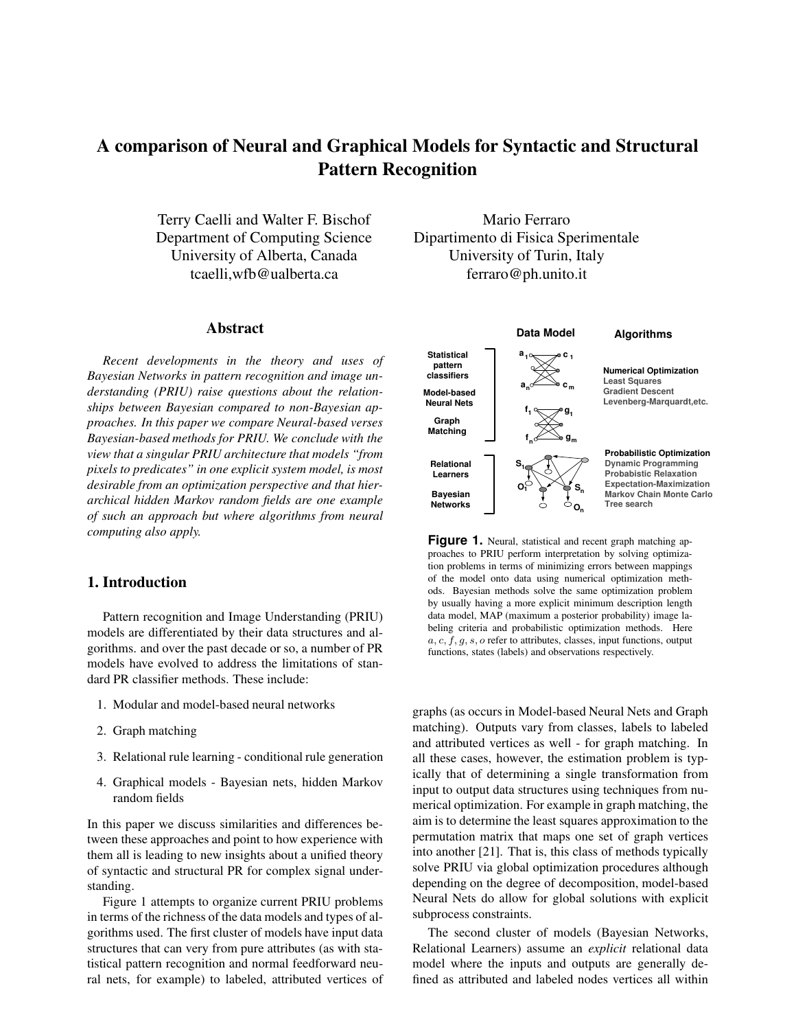# **A comparison of Neural and Graphical Models for Syntactic and Structural Pattern Recognition**

Terry Caelli and Walter F. Bischof Department of Computing Science University of Alberta, Canada tcaelli,wfb@ualberta.ca

#### **Abstract**

*Recent developments in the theory and uses of Bayesian Networks in pattern recognition and image understanding (PRIU) raise questions about the relationships between Bayesian compared to non-Bayesian approaches. In this paper we compare Neural-based verses Bayesian-based methods for PRIU. We conclude with the view that a singular PRIU architecture that models "from pixels to predicates" in one explicit system model, is most desirable from an optimization perspective and that hierarchical hidden Markov random fields are one example of such an approach but where algorithms from neural computing also apply.*

# **1. Introduction**

Pattern recognition and Image Understanding (PRIU) models are differentiated by their data structures and algorithms. and over the past decade or so, a number of PR models have evolved to address the limitations of standard PR classifier methods. These include:

- 1. Modular and model-based neural networks
- 2. Graph matching
- 3. Relational rule learning conditional rule generation
- 4. Graphical models Bayesian nets, hidden Markov random fields

In this paper we discuss similarities and differences between these approaches and point to how experience with them all is leading to new insights about a unified theory of syntactic and structural PR for complex signal understanding.

Figure 1 attempts to organize current PRIU problems in terms of the richness of the data models and types of algorithms used. The first cluster of models have input data structures that can very from pure attributes (as with statistical pattern recognition and normal feedforward neural nets, for example) to labeled, attributed vertices of

Mario Ferraro Dipartimento di Fisica Sperimentale University of Turin, Italy ferraro@ph.unito.it



**Figure 1.** Neural, statistical and recent graph matching approaches to PRIU perform interpretation by solving optimization problems in terms of minimizing errors between mappings of the model onto data using numerical optimization methods. Bayesian methods solve the same optimization problem by usually having a more explicit minimum description length data model, MAP (maximum a posterior probability) image labeling criteria and probabilistic optimization methods. Here  $a, c, f, g, s, o$  refer to attributes, classes, input functions, output functions, states (labels) and observations respectively.

graphs (as occurs in Model-based Neural Nets and Graph matching). Outputs vary from classes, labels to labeled and attributed vertices as well - for graph matching. In all these cases, however, the estimation problem is typically that of determining a single transformation from input to output data structures using techniques from numerical optimization. For example in graph matching, the aim is to determine the least squares approximation to the permutation matrix that maps one set of graph vertices into another [21]. That is, this class of methods typically solve PRIU via global optimization procedures although depending on the degree of decomposition, model-based Neural Nets do allow for global solutions with explicit subprocess constraints.

The second cluster of models (Bayesian Networks, Relational Learners) assume an *explicit* relational data model where the inputs and outputs are generally defined as attributed and labeled nodes vertices all within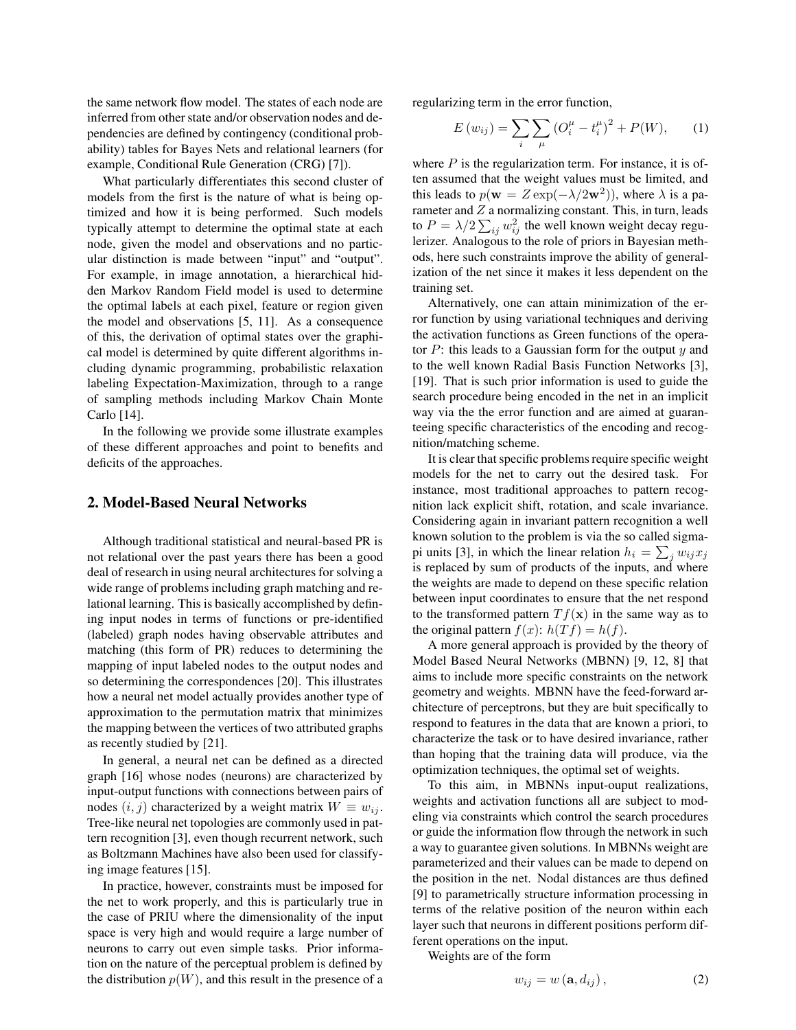the same network flow model. The states of each node are inferred from other state and/or observation nodes and dependencies are defined by contingency (conditional probability) tables for Bayes Nets and relational learners (for example, Conditional Rule Generation (CRG) [7]).

What particularly differentiates this second cluster of models from the first is the nature of what is being optimized and how it is being performed. Such models typically attempt to determine the optimal state at each node, given the model and observations and no particular distinction is made between "input" and "output". For example, in image annotation, a hierarchical hidden Markov Random Field model is used to determine the optimal labels at each pixel, feature or region given the model and observations [5, 11]. As a consequence of this, the derivation of optimal states over the graphical model is determined by quite different algorithms including dynamic programming, probabilistic relaxation labeling Expectation-Maximization, through to a range of sampling methods including Markov Chain Monte Carlo [14].

In the following we provide some illustrate examples of these different approaches and point to benefits and deficits of the approaches.

## **2. Model-Based Neural Networks**

Although traditional statistical and neural-based PR is not relational over the past years there has been a good deal of research in using neural architectures for solving a wide range of problems including graph matching and relational learning. This is basically accomplished by defining input nodes in terms of functions or pre-identified (labeled) graph nodes having observable attributes and matching (this form of PR) reduces to determining the mapping of input labeled nodes to the output nodes and so determining the correspondences [20]. This illustrates how a neural net model actually provides another type of approximation to the permutation matrix that minimizes the mapping between the vertices of two attributed graphs as recently studied by [21].

In general, a neural net can be defined as a directed graph [16] whose nodes (neurons) are characterized by input-output functions with connections between pairs of nodes  $(i, j)$  characterized by a weight matrix  $W \equiv w_{ij}$ . Tree-like neural net topologies are commonly used in pattern recognition [3], even though recurrent network, such as Boltzmann Machines have also been used for classifying image features [15].

In practice, however, constraints must be imposed for the net to work properly, and this is particularly true in the case of PRIU where the dimensionality of the input space is very high and would require a large number of neurons to carry out even simple tasks. Prior information on the nature of the perceptual problem is defined by the distribution  $p(W)$ , and this result in the presence of a

regularizing term in the error function,

$$
E(w_{ij}) = \sum_{i} \sum_{\mu} (O_i^{\mu} - t_i^{\mu})^2 + P(W), \qquad (1)
$$

where  $P$  is the regularization term. For instance, it is often assumed that the weight values must be limited, and this leads to  $p(\mathbf{w} = Z \exp(-\lambda/2\mathbf{w}^2))$ , where  $\lambda$  is a parameter and  $Z$  a normalizing constant. This, in turn, leads to  $P = \lambda/2 \sum_{ij} w_{ij}^2$  the well known weight decay regulerizer. Analogous to the role of priors in Bayesian methods, here such constraints improve the ability of generalization of the net since it makes it less dependent on the training set.

Alternatively, one can attain minimization of the error function by using variational techniques and deriving the activation functions as Green functions of the operator  $P$ : this leads to a Gaussian form for the output  $y$  and to the well known Radial Basis Function Networks [3], [19]. That is such prior information is used to guide the search procedure being encoded in the net in an implicit way via the the error function and are aimed at guaranteeing specific characteristics of the encoding and recognition/matching scheme.

It is clear that specific problems require specific weight models for the net to carry out the desired task. For instance, most traditional approaches to pattern recognition lack explicit shift, rotation, and scale invariance. Considering again in invariant pattern recognition a well known solution to the problem is via the so called sigmapi units [3], in which the linear relation  $h_i = \sum_j w_{ij} x_j$ is replaced by sum of products of the inputs, and where the weights are made to depend on these specific relation between input coordinates to ensure that the net respond to the transformed pattern  $Tf(\mathbf{x})$  in the same way as to the original pattern  $f(x)$ :  $h(Tf) = h(f)$ .

A more general approach is provided by the theory of Model Based Neural Networks (MBNN) [9, 12, 8] that aims to include more specific constraints on the network geometry and weights. MBNN have the feed-forward architecture of perceptrons, but they are buit specifically to respond to features in the data that are known a priori, to characterize the task or to have desired invariance, rather than hoping that the training data will produce, via the optimization techniques, the optimal set of weights.

To this aim, in MBNNs input-ouput realizations, weights and activation functions all are subject to modeling via constraints which control the search procedures or guide the information flow through the network in such a way to guarantee given solutions. In MBNNs weight are parameterized and their values can be made to depend on the position in the net. Nodal distances are thus defined [9] to parametrically structure information processing in terms of the relative position of the neuron within each layer such that neurons in different positions perform different operations on the input.

Weights are of the form

$$
w_{ij} = w\left(\mathbf{a}, d_{ij}\right),\tag{2}
$$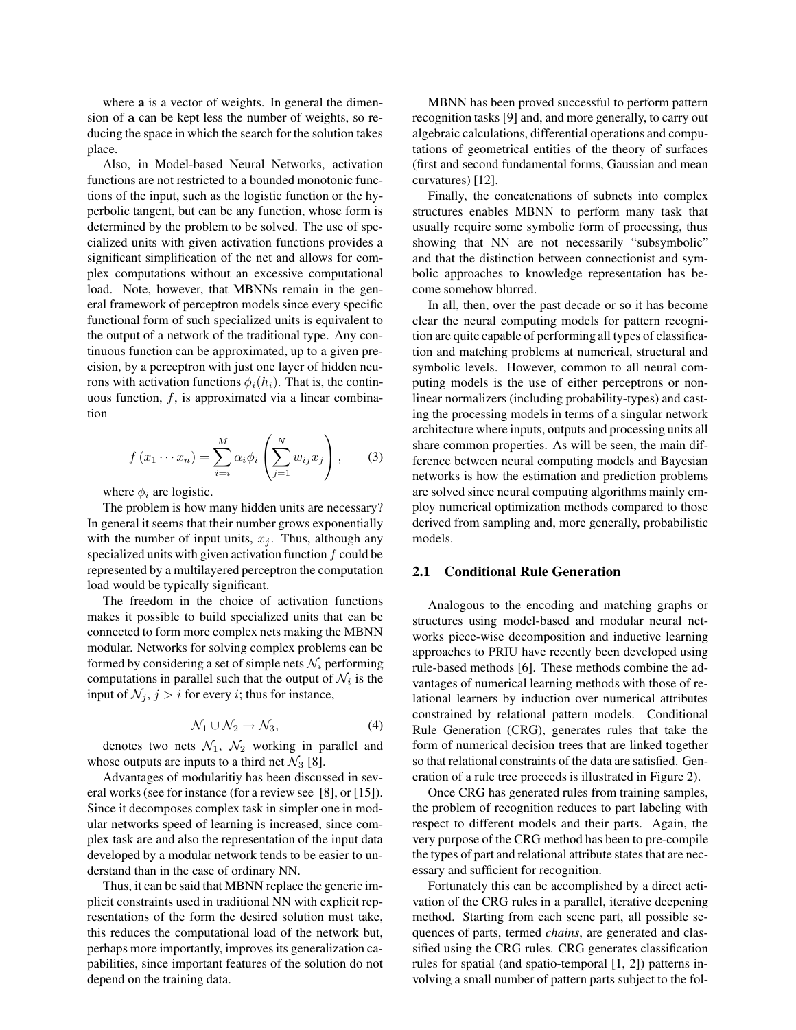where **a** is a vector of weights. In general the dimension of a can be kept less the number of weights, so reducing the space in which the search for the solution takes place.

Also, in Model-based Neural Networks, activation functions are not restricted to a bounded monotonic functions of the input, such as the logistic function or the hyperbolic tangent, but can be any function, whose form is determined by the problem to be solved. The use of specialized units with given activation functions provides a significant simplification of the net and allows for complex computations without an excessive computational load. Note, however, that MBNNs remain in the general framework of perceptron models since every specific functional form of such specialized units is equivalent to the output of a network of the traditional type. Any continuous function can be approximated, up to a given precision, by a perceptron with just one layer of hidden neurons with activation functions  $\phi_i(h_i)$ . That is, the continuous function,  $f$ , is approximated via a linear combination

$$
f(x_1 \cdots x_n) = \sum_{i=i}^{M} \alpha_i \phi_i \left( \sum_{j=1}^{N} w_{ij} x_j \right), \qquad (3)
$$

where  $\phi_i$  are logistic.

The problem is how many hidden units are necessary? In general it seems that their number grows exponentially with the number of input units,  $x_j$ . Thus, although any specialized units with given activation function  $f$  could be represented by a multilayered perceptron the computation load would be typically significant.

The freedom in the choice of activation functions makes it possible to build specialized units that can be connected to form more complex nets making the MBNN modular. Networks for solving complex problems can be formed by considering a set of simple nets  $\mathcal{N}_i$  performing computations in parallel such that the output of  $\mathcal{N}_i$  is the input of  $\mathcal{N}_j$ ,  $j > i$  for every i; thus for instance,

$$
\mathcal{N}_1 \cup \mathcal{N}_2 \to \mathcal{N}_3,\tag{4}
$$

denotes two nets  $\mathcal{N}_1$ ,  $\mathcal{N}_2$  working in parallel and whose outputs are inputs to a third net  $\mathcal{N}_3$  [8].

Advantages of modularitiy has been discussed in several works (see for instance (for a review see [8], or [15]). Since it decomposes complex task in simpler one in modular networks speed of learning is increased, since complex task are and also the representation of the input data developed by a modular network tends to be easier to understand than in the case of ordinary NN.

Thus, it can be said that MBNN replace the generic implicit constraints used in traditional NN with explicit representations of the form the desired solution must take, this reduces the computational load of the network but, perhaps more importantly, improves its generalization capabilities, since important features of the solution do not depend on the training data.

MBNN has been proved successful to perform pattern recognition tasks [9] and, and more generally, to carry out algebraic calculations, differential operations and computations of geometrical entities of the theory of surfaces (first and second fundamental forms, Gaussian and mean curvatures) [12].

Finally, the concatenations of subnets into complex structures enables MBNN to perform many task that usually require some symbolic form of processing, thus showing that NN are not necessarily "subsymbolic" and that the distinction between connectionist and symbolic approaches to knowledge representation has become somehow blurred.

In all, then, over the past decade or so it has become clear the neural computing models for pattern recognition are quite capable of performing all types of classification and matching problems at numerical, structural and symbolic levels. However, common to all neural computing models is the use of either perceptrons or nonlinear normalizers (including probability-types) and casting the processing models in terms of a singular network architecture where inputs, outputs and processing units all share common properties. As will be seen, the main difference between neural computing models and Bayesian networks is how the estimation and prediction problems are solved since neural computing algorithms mainly employ numerical optimization methods compared to those derived from sampling and, more generally, probabilistic models.

#### **2.1 Conditional Rule Generation**

Analogous to the encoding and matching graphs or structures using model-based and modular neural networks piece-wise decomposition and inductive learning approaches to PRIU have recently been developed using rule-based methods [6]. These methods combine the advantages of numerical learning methods with those of relational learners by induction over numerical attributes constrained by relational pattern models. Conditional Rule Generation (CRG), generates rules that take the form of numerical decision trees that are linked together so that relational constraints of the data are satisfied. Generation of a rule tree proceeds is illustrated in Figure 2).

Once CRG has generated rules from training samples, the problem of recognition reduces to part labeling with respect to different models and their parts. Again, the very purpose of the CRG method has been to pre-compile the types of part and relational attribute states that are necessary and sufficient for recognition.

Fortunately this can be accomplished by a direct activation of the CRG rules in a parallel, iterative deepening method. Starting from each scene part, all possible sequences of parts, termed *chains*, are generated and classified using the CRG rules. CRG generates classification rules for spatial (and spatio-temporal [1, 2]) patterns involving a small number of pattern parts subject to the fol-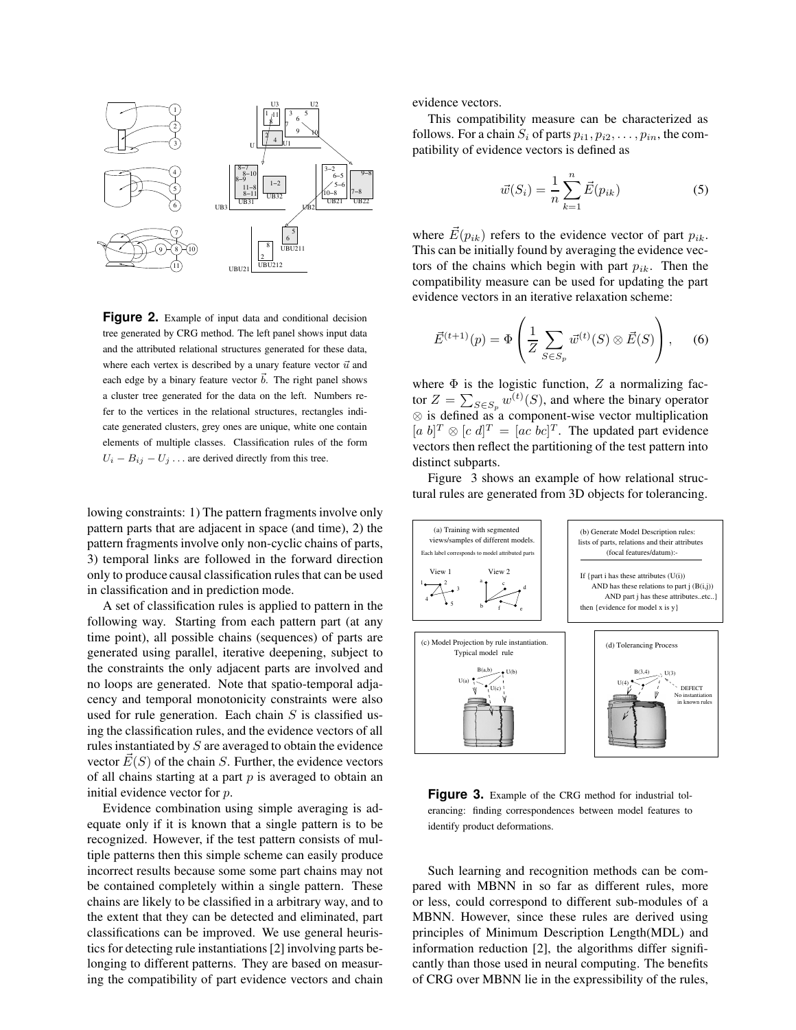

**Figure 2.** Example of input data and conditional decision tree generated by CRG method. The left panel shows input data and the attributed relational structures generated for these data, where each vertex is described by a unary feature vector  $\vec{u}$  and each edge by a binary feature vector  $\vec{b}$ . The right panel shows a cluster tree generated for the data on the left. Numbers refer to the vertices in the relational structures, rectangles indicate generated clusters, grey ones are unique, white one contain elements of multiple classes. Classification rules of the form  $U_i - B_{ij} - U_j \dots$  are derived directly from this tree.

lowing constraints: 1) The pattern fragments involve only pattern parts that are adjacent in space (and time), 2) the pattern fragments involve only non-cyclic chains of parts, 3) temporal links are followed in the forward direction only to produce causal classification rules that can be used in classification and in prediction mode.

A set of classification rules is applied to pattern in the following way. Starting from each pattern part (at any time point), all possible chains (sequences) of parts are generated using parallel, iterative deepening, subject to the constraints the only adjacent parts are involved and no loops are generated. Note that spatio-temporal adjacency and temporal monotonicity constraints were also used for rule generation. Each chain  $S$  is classified using the classification rules, and the evidence vectors of all rules instantiated by  $S$  are averaged to obtain the evidence vector  $E(S)$  of the chain S. Further, the evidence vectors of all chains starting at a part  $p$  is averaged to obtain an initial evidence vector for p.

Evidence combination using simple averaging is adequate only if it is known that a single pattern is to be recognized. However, if the test pattern consists of multiple patterns then this simple scheme can easily produce incorrect results because some some part chains may not be contained completely within a single pattern. These chains are likely to be classified in a arbitrary way, and to the extent that they can be detected and eliminated, part classifications can be improved. We use general heuristics for detecting rule instantiations[2] involving parts belonging to different patterns. They are based on measuring the compatibility of part evidence vectors and chain

evidence vectors.

This compatibility measure can be characterized as follows. For a chain  $S_i$  of parts  $p_{i1}, p_{i2}, \ldots, p_{in}$ , the compatibility of evidence vectors is defined as

$$
\vec{w}(S_i) = \frac{1}{n} \sum_{k=1}^{n} \vec{E}(p_{ik})
$$
\n(5)

where  $\vec{E}(p_{ik})$  refers to the evidence vector of part  $p_{ik}$ . This can be initially found by averaging the evidence vectors of the chains which begin with part  $p_{ik}$ . Then the compatibility measure can be used for updating the part evidence vectors in an iterative relaxation scheme:

$$
\vec{E}^{(t+1)}(p) = \Phi\left(\frac{1}{Z} \sum_{S \in S_p} \vec{w}^{(t)}(S) \otimes \vec{E}(S)\right), \quad (6)
$$

where  $\Phi$  is the logistic function, Z a normalizing factor  $Z = \sum_{S \in S_p} w^{(t)}(S)$ , and where the binary operator  $\otimes$  is defined as a component-wise vector multiplication  $[a \; b]^T \otimes [c \; d]^T = [ac \; bc]^T$ . The updated part evidence vectors then reflect the partitioning of the test pattern into distinct subparts.

Figure 3 shows an example of how relational structural rules are generated from 3D objects for tolerancing.



**Figure 3.** Example of the CRG method for industrial tolerancing: finding correspondences between model features to identify product deformations.

Such learning and recognition methods can be compared with MBNN in so far as different rules, more or less, could correspond to different sub-modules of a MBNN. However, since these rules are derived using principles of Minimum Description Length(MDL) and information reduction [2], the algorithms differ significantly than those used in neural computing. The benefits of CRG over MBNN lie in the expressibility of the rules,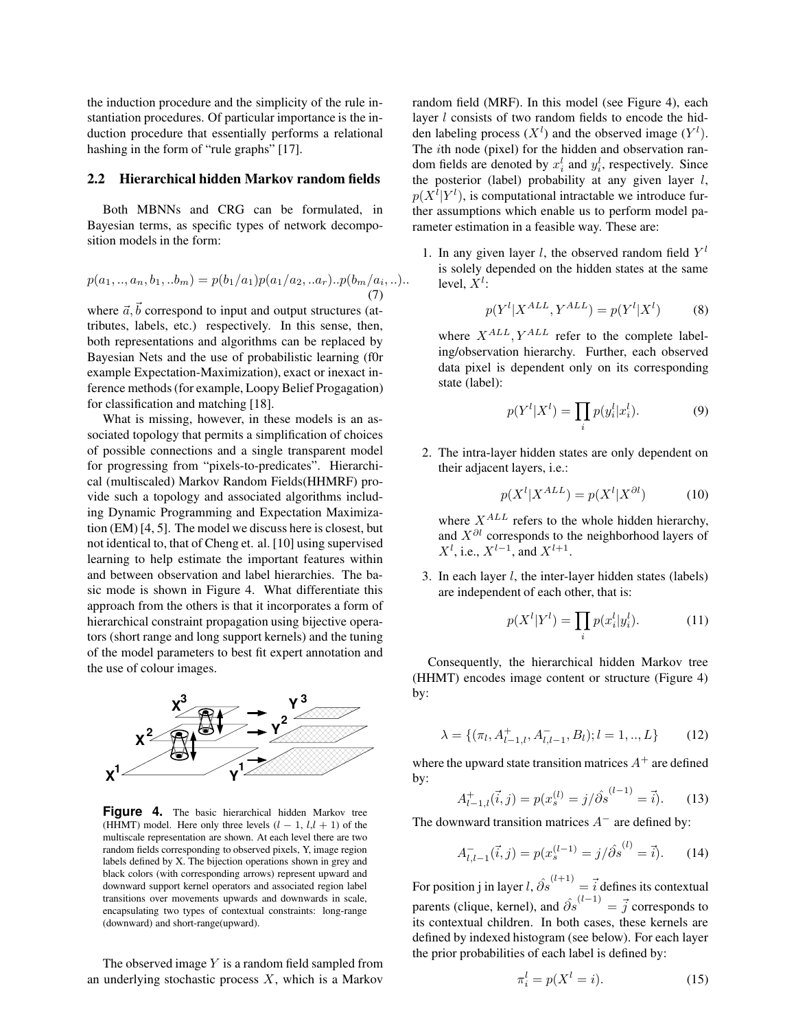the induction procedure and the simplicity of the rule instantiation procedures. Of particular importance is the induction procedure that essentially performs a relational hashing in the form of "rule graphs" [17].

#### **2.2 Hierarchical hidden Markov random fields**

Both MBNNs and CRG can be formulated, in Bayesian terms, as specific types of network decomposition models in the form:

$$
p(a_1,..,a_n,b_1,..b_m) = p(b_1/a_1)p(a_1/a_2,..a_r)..p(b_m/a_i,..).
$$
  
(7)

where  $\vec{a}, \vec{b}$  correspond to input and output structures (attributes, labels, etc.) respectively. In this sense, then, both representations and algorithms can be replaced by Bayesian Nets and the use of probabilistic learning (f0r example Expectation-Maximization), exact or inexact inference methods(for example, Loopy Belief Progagation) for classification and matching [18].

What is missing, however, in these models is an associated topology that permits a simplification of choices of possible connections and a single transparent model for progressing from "pixels-to-predicates". Hierarchical (multiscaled) Markov Random Fields(HHMRF) provide such a topology and associated algorithms including Dynamic Programming and Expectation Maximization (EM) [4, 5]. The model we discuss here is closest, but not identical to, that of Cheng et. al. [10] using supervised learning to help estimate the important features within and between observation and label hierarchies. The basic mode is shown in Figure 4. What differentiate this approach from the others is that it incorporates a form of hierarchical constraint propagation using bijective operators (short range and long support kernels) and the tuning of the model parameters to best fit expert annotation and the use of colour images.



**Figure 4.** The basic hierarchical hidden Markov tree (HHMT) model. Here only three levels  $(l - 1, l, l + 1)$  of the multiscale representation are shown. At each level there are two random fields corresponding to observed pixels, Y, image region labels defined by X. The bijection operations shown in grey and black colors (with corresponding arrows) represent upward and downward support kernel operators and associated region label transitions over movements upwards and downwards in scale, encapsulating two types of contextual constraints: long-range (downward) and short-range(upward).

The observed image  $Y$  is a random field sampled from an underlying stochastic process  $X$ , which is a Markov

random field (MRF). In this model (see Figure 4), each layer *l* consists of two random fields to encode the hidden labeling process  $(X^l)$  and the observed image  $(Y^l)$ . The ith node (pixel) for the hidden and observation random fields are denoted by  $x_i^l$  and  $y_i^l$ , respectively. Since the posterior (label) probability at any given layer  $l$ ,  $p(X^l|Y^l)$ , is computational intractable we introduce further assumptions which enable us to perform model parameter estimation in a feasible way. These are:

1. In any given layer l, the observed random field  $Y<sup>l</sup>$ is solely depended on the hidden states at the same level,  $X^l$ :

$$
p(Y^l | X^{ALL}, Y^{ALL}) = p(Y^l | X^l)
$$
 (8)

where  $X^{ALL}$ ,  $Y^{ALL}$  refer to the complete labeling/observation hierarchy. Further, each observed data pixel is dependent only on its corresponding state (label):

$$
p(Y^l | X^l) = \prod_i p(y_i^l | x_i^l). \tag{9}
$$

2. The intra-layer hidden states are only dependent on their adjacent layers, i.e.:

$$
p(X^l | X^{ALL}) = p(X^l | X^{\partial l}) \tag{10}
$$

where  $X^{ALL}$  refers to the whole hidden hierarchy, and  $X^{\partial l}$  corresponds to the neighborhood layers of  $X^l$ , i.e.,  $X^{l-1}$ , and  $X^{l+1}$ .

3. In each layer  $l$ , the inter-layer hidden states (labels) are independent of each other, that is:

$$
p(X^l|Y^l) = \prod_i p(x_i^l|y_i^l). \tag{11}
$$

 Consequently, the hierarchical hidden Markov tree (HHMT) encodes image content or structure (Figure 4) by:

$$
\lambda = \{ (\pi_l, A_{l-1,l}^+, A_{l,l-1}^-, B_l); l = 1, ..., L \}
$$
 (12)

by:

$$
A_{l-1,l}^{+}(\vec{i},j) = p(x_s^{(l)} = j/\hat{\partial s}^{(l-1)} = \vec{i}).
$$
 (13)

The downward transition matrices  $A^-$  are defined by:

$$
A_{l,l-1}^{-}(\vec{i},j) = p(x_s^{(l-1)} = j/\hat{\partial s}^{(l)} = \vec{i}).
$$
 (14)

For position j in layer  $l, \hat{\partial s}^{(l+1)} = \vec{i}$  defines its contextual parents (clique, kernel), and  $\hat{\partial s}^{(l-1)} = \vec{j}$  corresponds to its contextual children. In both cases, these kernels are defined by indexed histogram (see below). For each layer the prior probabilities of each label is defined by:

$$
\pi_i^l = p(X^l = i). \tag{15}
$$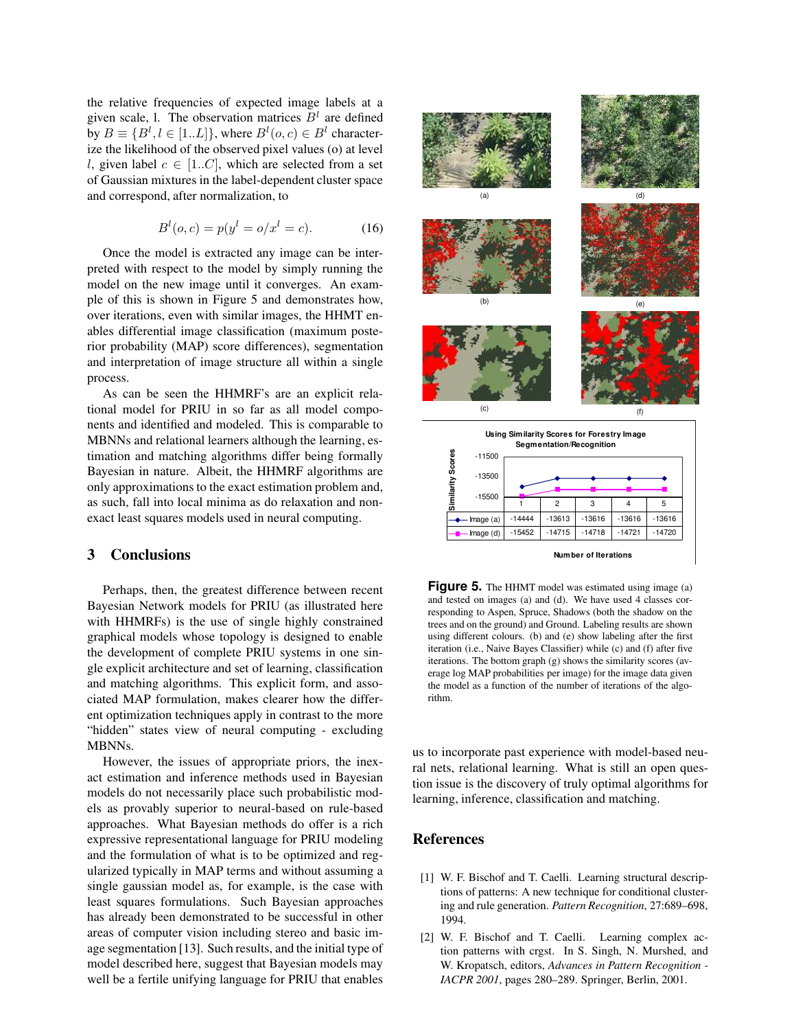the relative frequencies of expected image labels at a given scale, 1. The observation matrices  $B<sup>l</sup>$  are defined by  $B \equiv \{B^l, l \in [1..L]\}$ , where  $B^l(o, c) \in B^l$  characterize the likelihood of the observed pixel values (o) at level l, given label  $c \in [1..C]$ , which are selected from a set of Gaussian mixtures in the label-dependent cluster space and correspond, after normalization, to

$$
B^{l}(o, c) = p(y^{l} = o/x^{l} = c).
$$
 (16)

Once the model is extracted any image can be interpreted with respect to the model by simply running the model on the new image until it converges. An example of this is shown in Figure 5 and demonstrates how, over iterations, even with similar images, the HHMT enables differential image classification (maximum posterior probability (MAP) score differences), segmentation and interpretation of image structure all within a single process.

As can be seen the HHMRF's are an explicit relational model for PRIU in so far as all model components and identified and modeled. This is comparable to MBNNs and relational learners although the learning, estimation and matching algorithms differ being formally Bayesian in nature. Albeit, the HHMRF algorithms are only approximations to the exact estimation problem and, as such, fall into local minima as do relaxation and nonexact least squares models used in neural computing.

### **3 Conclusions**

Perhaps, then, the greatest difference between recent Bayesian Network models for PRIU (as illustrated here with HHMRFs) is the use of single highly constrained graphical models whose topology is designed to enable the development of complete PRIU systems in one single explicit architecture and set of learning, classification and matching algorithms. This explicit form, and associated MAP formulation, makes clearer how the different optimization techniques apply in contrast to the more "hidden" states view of neural computing - excluding MBNNs.

However, the issues of appropriate priors, the inexact estimation and inference methods used in Bayesian models do not necessarily place such probabilistic models as provably superior to neural-based on rule-based approaches. What Bayesian methods do offer is a rich expressive representational language for PRIU modeling and the formulation of what is to be optimized and regularized typically in MAP terms and without assuming a single gaussian model as, for example, is the case with least squares formulations. Such Bayesian approaches has already been demonstrated to be successful in other areas of computer vision including stereo and basic image segmentation [13]. Such results, and the initial type of model described here, suggest that Bayesian models may well be a fertile unifying language for PRIU that enables



**Figure 5.** The HHMT model was estimated using image (a) and tested on images (a) and (d). We have used 4 classes corresponding to Aspen, Spruce, Shadows (both the shadow on the trees and on the ground) and Ground. Labeling results are shown using different colours. (b) and (e) show labeling after the first iteration (i.e., Naive Bayes Classifier) while (c) and (f) after five iterations. The bottom graph (g) shows the similarity scores (average log MAP probabilities per image) for the image data given the model as a function of the number of iterations of the algorithm.

us to incorporate past experience with model-based neural nets, relational learning. What is still an open question issue is the discovery of truly optimal algorithms for learning, inference, classification and matching.

## **References**

- [1] W. F. Bischof and T. Caelli. Learning structural descriptions of patterns: A new technique for conditional clustering and rule generation. *Pattern Recognition*, 27:689–698, 1994.
- [2] W. F. Bischof and T. Caelli. Learning complex action patterns with crgst. In S. Singh, N. Murshed, and W. Kropatsch, editors, *Advances in Pattern Recognition - IACPR 2001*, pages 280–289. Springer, Berlin, 2001.